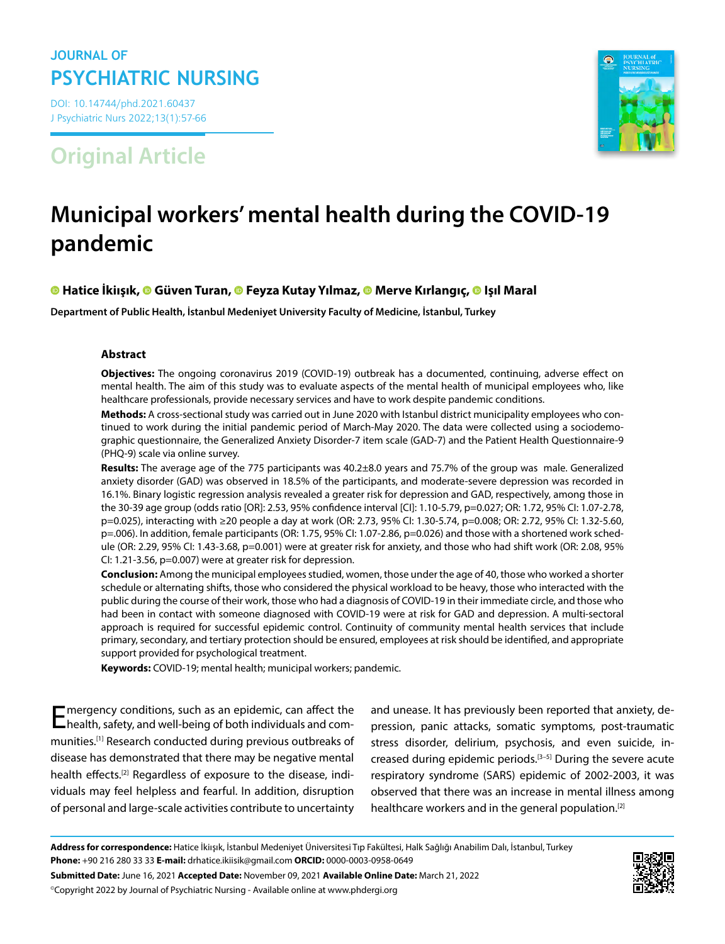## **JOURNAL OF PSYCHIATRIC NURSING**

DOI: 10.14744/phd.2021.60437 J Psychiatric Nurs 2022;13(1):57-66

**Original Article**



# **Municipal workers' mental health during the COVID-19 pandemic**

## **Hatice İkiışık,Güven Turan,Feyza Kutay Yılmaz[,](https://orcid.org/0000-0001-9012-1700) Merve Kırlangıç,Işıl Maral**

**Department of Public Health, İstanbul Medeniyet University Faculty of Medicine, İstanbul, Turkey**

## **Abstract**

**Objectives:** The ongoing coronavirus 2019 (COVID-19) outbreak has a documented, continuing, adverse effect on mental health. The aim of this study was to evaluate aspects of the mental health of municipal employees who, like healthcare professionals, provide necessary services and have to work despite pandemic conditions.

**Methods:** A cross-sectional study was carried out in June 2020 with Istanbul district municipality employees who continued to work during the initial pandemic period of March-May 2020. The data were collected using a sociodemographic questionnaire, the Generalized Anxiety Disorder-7 item scale (GAD-7) and the Patient Health Questionnaire-9 (PHQ-9) scale via online survey.

**Results:** The average age of the 775 participants was 40.2±8.0 years and 75.7% of the group was male. Generalized anxiety disorder (GAD) was observed in 18.5% of the participants, and moderate-severe depression was recorded in 16.1%. Binary logistic regression analysis revealed a greater risk for depression and GAD, respectively, among those in the 30-39 age group (odds ratio [OR]: 2.53, 95% confidence interval [CI]: 1.10-5.79, p=0.027; OR: 1.72, 95% CI: 1.07-2.78, p=0.025), interacting with ≥20 people a day at work (OR: 2.73, 95% CI: 1.30-5.74, p=0.008; OR: 2.72, 95% CI: 1.32-5.60, p=.006). In addition, female participants (OR: 1.75, 95% CI: 1.07-2.86, p=0.026) and those with a shortened work schedule (OR: 2.29, 95% CI: 1.43-3.68, p=0.001) were at greater risk for anxiety, and those who had shift work (OR: 2.08, 95% CI: 1.21-3.56, p=0.007) were at greater risk for depression.

**Conclusion:** Among the municipal employees studied, women, those under the age of 40, those who worked a shorter schedule or alternating shifts, those who considered the physical workload to be heavy, those who interacted with the public during the course of their work, those who had a diagnosis of COVID-19 in their immediate circle, and those who had been in contact with someone diagnosed with COVID-19 were at risk for GAD and depression. A multi-sectoral approach is required for successful epidemic control. Continuity of community mental health services that include primary, secondary, and tertiary protection should be ensured, employees at risk should be identified, and appropriate support provided for psychological treatment.

**Keywords:** COVID-19; mental health; municipal workers; pandemic.

Emergency conditions, such as an epidemic, can affect the health, safety, and well-being of both individuals and communities.[1] Research conducted during previous outbreaks of disease has demonstrated that there may be negative mental health effects.<sup>[2]</sup> Regardless of exposure to the disease, individuals may feel helpless and fearful. In addition, disruption of personal and large-scale activities contribute to uncertainty

and unease. It has previously been reported that anxiety, depression, panic attacks, somatic symptoms, post-traumatic stress disorder, delirium, psychosis, and even suicide, increased during epidemic periods.<sup>[3-5]</sup> During the severe acute respiratory syndrome (SARS) epidemic of 2002-2003, it was observed that there was an increase in mental illness among healthcare workers and in the general population.[2]

**Address for correspondence:** Hatice İkiışık, İstanbul Medeniyet Üniversitesi Tıp Fakültesi, Halk Sağlığı Anabilim Dalı, İstanbul, Turkey **Phone:** +90 216 280 33 33 **E-mail:** drhatice.ikiisik@gmail.com **ORCID:** 0000-0003-0958-0649 **Submitted Date:** June 16, 2021 **Accepted Date:** November 09, 2021 **Available Online Date:** March 21, 2022 ©Copyright 2022 by Journal of Psychiatric Nursing - Available online at www.phdergi.org

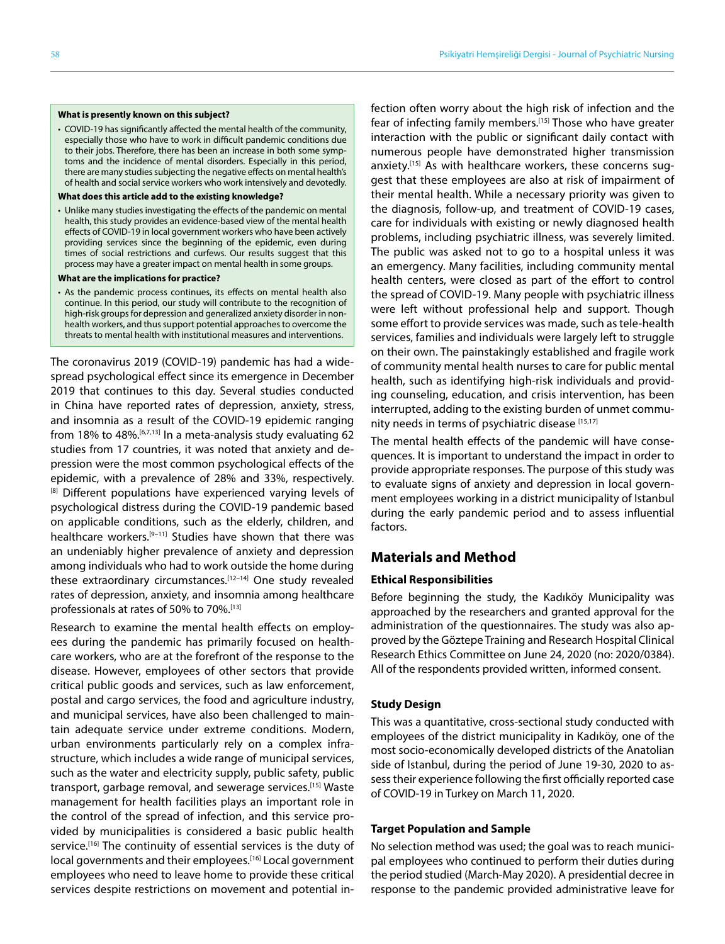#### **What is presently known on this subject?**

- COVID-19 has significantly affected the mental health of the community, especially those who have to work in difficult pandemic conditions due to their jobs. Therefore, there has been an increase in both some symptoms and the incidence of mental disorders. Especially in this period, there are many studies subjecting the negative effects on mental health's of health and social service workers who work intensively and devotedly.
- **What does this article add to the existing knowledge?**
- Unlike many studies investigating the effects of the pandemic on mental health, this study provides an evidence-based view of the mental health effects of COVID-19 in local government workers who have been actively providing services since the beginning of the epidemic, even during times of social restrictions and curfews. Our results suggest that this process may have a greater impact on mental health in some groups.
- **What are the implications for practice?**
- As the pandemic process continues, its effects on mental health also continue. In this period, our study will contribute to the recognition of high-risk groups for depression and generalized anxiety disorder in nonhealth workers, and thus support potential approaches to overcome the threats to mental health with institutional measures and interventions.

The coronavirus 2019 (COVID-19) pandemic has had a widespread psychological effect since its emergence in December 2019 that continues to this day. Several studies conducted in China have reported rates of depression, anxiety, stress, and insomnia as a result of the COVID-19 epidemic ranging from 18% to 48%.<sup>[6,7,13]</sup> In a meta-analysis study evaluating 62 studies from 17 countries, it was noted that anxiety and depression were the most common psychological effects of the epidemic, with a prevalence of 28% and 33%, respectively. <sup>[8]</sup> Different populations have experienced varying levels of psychological distress during the COVID-19 pandemic based on applicable conditions, such as the elderly, children, and healthcare workers.[9–11] Studies have shown that there was an undeniably higher prevalence of anxiety and depression among individuals who had to work outside the home during these extraordinary circumstances.<sup>[12-14]</sup> One study revealed rates of depression, anxiety, and insomnia among healthcare professionals at rates of 50% to 70%.<sup>[13]</sup>

Research to examine the mental health effects on employees during the pandemic has primarily focused on healthcare workers, who are at the forefront of the response to the disease. However, employees of other sectors that provide critical public goods and services, such as law enforcement, postal and cargo services, the food and agriculture industry, and municipal services, have also been challenged to maintain adequate service under extreme conditions. Modern, urban environments particularly rely on a complex infrastructure, which includes a wide range of municipal services, such as the water and electricity supply, public safety, public transport, garbage removal, and sewerage services.<sup>[15]</sup> Waste management for health facilities plays an important role in the control of the spread of infection, and this service provided by municipalities is considered a basic public health service.<sup>[16]</sup> The continuity of essential services is the duty of local governments and their employees.<sup>[16]</sup> Local government employees who need to leave home to provide these critical services despite restrictions on movement and potential infection often worry about the high risk of infection and the fear of infecting family members.[15] Those who have greater interaction with the public or significant daily contact with numerous people have demonstrated higher transmission anxiety.<sup>[15]</sup> As with healthcare workers, these concerns suggest that these employees are also at risk of impairment of their mental health. While a necessary priority was given to the diagnosis, follow-up, and treatment of COVID-19 cases, care for individuals with existing or newly diagnosed health problems, including psychiatric illness, was severely limited. The public was asked not to go to a hospital unless it was an emergency. Many facilities, including community mental health centers, were closed as part of the effort to control the spread of COVID-19. Many people with psychiatric illness were left without professional help and support. Though some effort to provide services was made, such as tele-health services, families and individuals were largely left to struggle on their own. The painstakingly established and fragile work of community mental health nurses to care for public mental health, such as identifying high-risk individuals and providing counseling, education, and crisis intervention, has been interrupted, adding to the existing burden of unmet community needs in terms of psychiatric disease [15,17]

The mental health effects of the pandemic will have consequences. It is important to understand the impact in order to provide appropriate responses. The purpose of this study was to evaluate signs of anxiety and depression in local government employees working in a district municipality of Istanbul during the early pandemic period and to assess influential factors.

## **Materials and Method**

#### **Ethical Responsibilities**

Before beginning the study, the Kadıköy Municipality was approached by the researchers and granted approval for the administration of the questionnaires. The study was also approved by the Göztepe Training and Research Hospital Clinical Research Ethics Committee on June 24, 2020 (no: 2020/0384). All of the respondents provided written, informed consent.

#### **Study Design**

This was a quantitative, cross-sectional study conducted with employees of the district municipality in Kadıköy, one of the most socio-economically developed districts of the Anatolian side of Istanbul, during the period of June 19-30, 2020 to assess their experience following the first officially reported case of COVID-19 in Turkey on March 11, 2020.

#### **Target Population and Sample**

No selection method was used; the goal was to reach municipal employees who continued to perform their duties during the period studied (March-May 2020). A presidential decree in response to the pandemic provided administrative leave for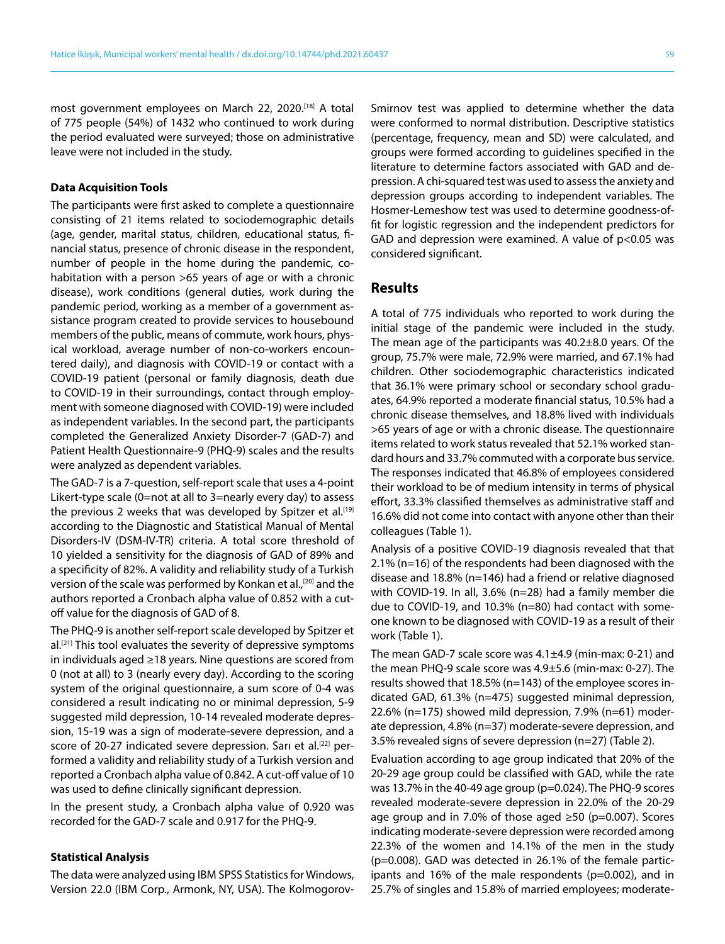most government employees on March 22, 2020.[18] A total of 775 people (54%) of 1432 who continued to work during the period evaluated were surveyed; those on administrative leave were not included in the study.

#### **Data Acquisition Tools**

The participants were first asked to complete a questionnaire consisting of 21 items related to sociodemographic details (age, gender, marital status, children, educational status, financial status, presence of chronic disease in the respondent, number of people in the home during the pandemic, cohabitation with a person >65 years of age or with a chronic disease), work conditions (general duties, work during the pandemic period, working as a member of a government assistance program created to provide services to housebound members of the public, means of commute, work hours, physical workload, average number of non-co-workers encountered daily), and diagnosis with COVID-19 or contact with a COVID-19 patient (personal or family diagnosis, death due to COVID-19 in their surroundings, contact through employment with someone diagnosed with COVID-19) were included as independent variables. In the second part, the participants completed the Generalized Anxiety Disorder-7 (GAD-7) and Patient Health Questionnaire-9 (PHQ-9) scales and the results were analyzed as dependent variables.

The GAD-7 is a 7-question, self-report scale that uses a 4-point Likert-type scale (0=not at all to 3=nearly every day) to assess the previous 2 weeks that was developed by Spitzer et al.<sup>[19]</sup> according to the Diagnostic and Statistical Manual of Mental Disorders-IV (DSM-IV-TR) criteria. A total score threshold of 10 yielded a sensitivity for the diagnosis of GAD of 89% and a specificity of 82%. A validity and reliability study of a Turkish version of the scale was performed by Konkan et al.,<sup>[20]</sup> and the authors reported a Cronbach alpha value of 0.852 with a cutoff value for the diagnosis of GAD of 8.

The PHQ-9 is another self-report scale developed by Spitzer et al.<sup>[21]</sup> This tool evaluates the severity of depressive symptoms in individuals aged ≥18 years. Nine questions are scored from 0 (not at all) to 3 (nearly every day). According to the scoring system of the original questionnaire, a sum score of 0-4 was considered a result indicating no or minimal depression, 5-9 suggested mild depression, 10-14 revealed moderate depression, 15-19 was a sign of moderate-severe depression, and a score of 20-27 indicated severe depression. Sarı et al.<sup>[22]</sup> performed a validity and reliability study of a Turkish version and reported a Cronbach alpha value of 0.842. A cut-off value of 10 was used to define clinically significant depression.

In the present study, a Cronbach alpha value of 0.920 was recorded for the GAD-7 scale and 0.917 for the PHQ-9.

#### **Statistical Analysis**

The data were analyzed using IBM SPSS Statistics for Windows, Version 22.0 (IBM Corp., Armonk, NY, USA). The Kolmogorov-

Smirnov test was applied to determine whether the data were conformed to normal distribution. Descriptive statistics (percentage, frequency, mean and SD) were calculated, and groups were formed according to guidelines specified in the literature to determine factors associated with GAD and depression. A chi-squared test was used to assess the anxiety and depression groups according to independent variables. The Hosmer-Lemeshow test was used to determine goodness-offit for logistic regression and the independent predictors for GAD and depression were examined. A value of  $p$ <0.05 was considered significant.

## **Results**

A total of 775 individuals who reported to work during the initial stage of the pandemic were included in the study. The mean age of the participants was 40.2±8.0 years. Of the group, 75.7% were male, 72.9% were married, and 67.1% had children. Other sociodemographic characteristics indicated that 36.1% were primary school or secondary school graduates, 64.9% reported a moderate financial status, 10.5% had a chronic disease themselves, and 18.8% lived with individuals >65 years of age or with a chronic disease. The questionnaire items related to work status revealed that 52.1% worked standard hours and 33.7% commuted with a corporate bus service. The responses indicated that 46.8% of employees considered their workload to be of medium intensity in terms of physical effort, 33.3% classified themselves as administrative staff and 16.6% did not come into contact with anyone other than their colleagues (Table 1).

Analysis of a positive COVID-19 diagnosis revealed that that 2.1% (n=16) of the respondents had been diagnosed with the disease and 18.8% (n=146) had a friend or relative diagnosed with COVID-19. In all, 3.6% (n=28) had a family member die due to COVID-19, and 10.3% (n=80) had contact with someone known to be diagnosed with COVID-19 as a result of their work (Table 1).

The mean GAD-7 scale score was 4.1±4.9 (min-max: 0-21) and the mean PHQ-9 scale score was 4.9±5.6 (min-max: 0-27). The results showed that 18.5% (n=143) of the employee scores indicated GAD, 61.3% (n=475) suggested minimal depression, 22.6% (n=175) showed mild depression, 7.9% (n=61) moderate depression, 4.8% (n=37) moderate-severe depression, and 3.5% revealed signs of severe depression (n=27) (Table 2).

Evaluation according to age group indicated that 20% of the 20-29 age group could be classified with GAD, while the rate was 13.7% in the 40-49 age group (p=0.024). The PHQ-9 scores revealed moderate-severe depression in 22.0% of the 20-29 age group and in 7.0% of those aged ≥50 (p=0.007). Scores indicating moderate-severe depression were recorded among 22.3% of the women and 14.1% of the men in the study (p=0.008). GAD was detected in 26.1% of the female participants and 16% of the male respondents (p=0.002), and in 25.7% of singles and 15.8% of married employees; moderate-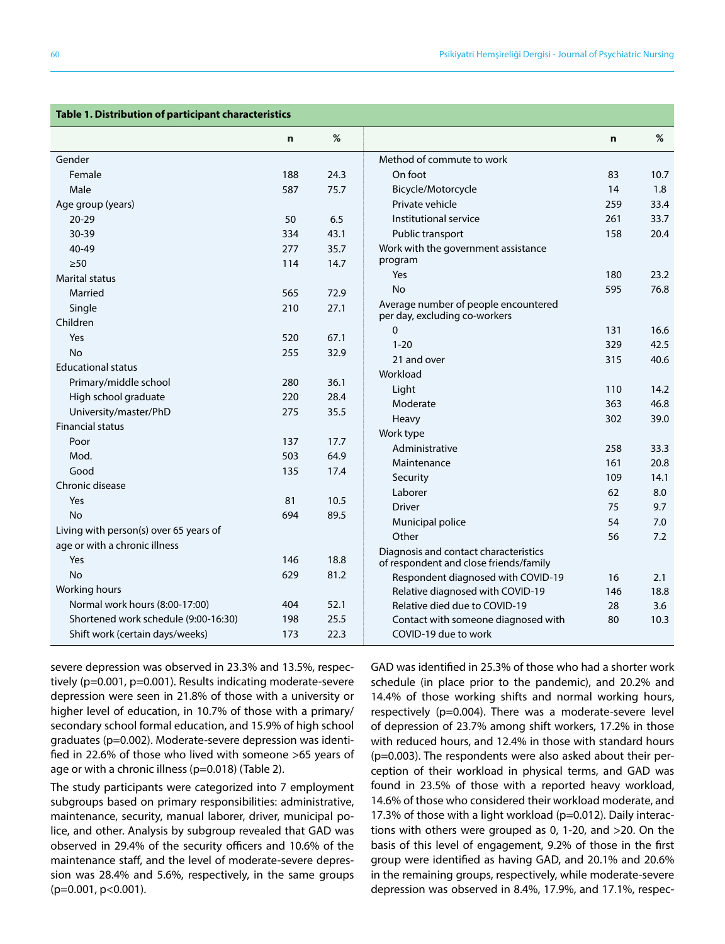| Table 1. Distribution of participant characteristics |             |      |                                                                       |             |      |  |  |  |
|------------------------------------------------------|-------------|------|-----------------------------------------------------------------------|-------------|------|--|--|--|
|                                                      | $\mathbf n$ | %    |                                                                       | $\mathbf n$ | %    |  |  |  |
| Gender                                               |             |      | Method of commute to work                                             |             |      |  |  |  |
| Female                                               | 188         | 24.3 | On foot                                                               | 83          | 10.7 |  |  |  |
| Male                                                 | 587         | 75.7 | Bicycle/Motorcycle                                                    | 14          | 1.8  |  |  |  |
| Age group (years)                                    |             |      | Private vehicle                                                       | 259         | 33.4 |  |  |  |
| $20 - 29$                                            | 50          | 6.5  | Institutional service                                                 | 261         | 33.7 |  |  |  |
| 30-39                                                | 334         | 43.1 | Public transport                                                      | 158         | 20.4 |  |  |  |
| 40-49                                                | 277         | 35.7 | Work with the government assistance                                   |             |      |  |  |  |
| $\geq 50$                                            | 114         | 14.7 | program                                                               |             |      |  |  |  |
| <b>Marital status</b>                                |             |      | Yes                                                                   | 180         | 23.2 |  |  |  |
| Married                                              | 565         | 72.9 | <b>No</b>                                                             | 595         | 76.8 |  |  |  |
| Single                                               | 210         | 27.1 | Average number of people encountered<br>per day, excluding co-workers |             |      |  |  |  |
| Children                                             |             |      | $\Omega$                                                              | 131         | 16.6 |  |  |  |
| Yes                                                  | 520         | 67.1 | $1 - 20$                                                              | 329         | 42.5 |  |  |  |
| <b>No</b>                                            | 255         | 32.9 | 21 and over                                                           | 315         | 40.6 |  |  |  |
| <b>Educational status</b>                            |             |      | Workload                                                              |             |      |  |  |  |
| Primary/middle school                                | 280         | 36.1 | Light                                                                 | 110         | 14.2 |  |  |  |
| High school graduate                                 | 220         | 28.4 | Moderate                                                              | 363         | 46.8 |  |  |  |
| University/master/PhD                                | 275         | 35.5 | Heavy                                                                 | 302         | 39.0 |  |  |  |
| <b>Financial status</b>                              |             |      | Work type                                                             |             |      |  |  |  |
| Poor                                                 | 137         | 17.7 | Administrative                                                        | 258         | 33.3 |  |  |  |
| Mod.                                                 | 503         | 64.9 | Maintenance                                                           | 161         | 20.8 |  |  |  |
| Good                                                 | 135         | 17.4 | Security                                                              | 109         | 14.1 |  |  |  |
| Chronic disease                                      |             |      | Laborer                                                               | 62          | 8.0  |  |  |  |
| Yes                                                  | 81          | 10.5 | <b>Driver</b>                                                         | 75          | 9.7  |  |  |  |
| <b>No</b>                                            | 694         | 89.5 | Municipal police                                                      | 54          | 7.0  |  |  |  |
| Living with person(s) over 65 years of               |             |      | Other                                                                 | 56          | 7.2  |  |  |  |
| age or with a chronic illness                        |             |      | Diagnosis and contact characteristics                                 |             |      |  |  |  |
| Yes                                                  | 146         | 18.8 | of respondent and close friends/family                                |             |      |  |  |  |
| <b>No</b>                                            | 629         | 81.2 | Respondent diagnosed with COVID-19                                    | 16          | 2.1  |  |  |  |
| Working hours                                        |             |      | Relative diagnosed with COVID-19                                      | 146         | 18.8 |  |  |  |
| Normal work hours (8:00-17:00)                       | 404         | 52.1 | Relative died due to COVID-19                                         | 28          | 3.6  |  |  |  |
| Shortened work schedule (9:00-16:30)                 | 198         | 25.5 | Contact with someone diagnosed with                                   | 80          | 10.3 |  |  |  |
| Shift work (certain days/weeks)                      | 173         | 22.3 | COVID-19 due to work                                                  |             |      |  |  |  |

severe depression was observed in 23.3% and 13.5%, respectively (p=0.001, p=0.001). Results indicating moderate-severe depression were seen in 21.8% of those with a university or higher level of education, in 10.7% of those with a primary/ secondary school formal education, and 15.9% of high school graduates (p=0.002). Moderate-severe depression was identified in 22.6% of those who lived with someone >65 years of age or with a chronic illness (p=0.018) (Table 2).

The study participants were categorized into 7 employment subgroups based on primary responsibilities: administrative, maintenance, security, manual laborer, driver, municipal police, and other. Analysis by subgroup revealed that GAD was observed in 29.4% of the security officers and 10.6% of the maintenance staff, and the level of moderate-severe depression was 28.4% and 5.6%, respectively, in the same groups (p=0.001, p<0.001).

GAD was identified in 25.3% of those who had a shorter work schedule (in place prior to the pandemic), and 20.2% and 14.4% of those working shifts and normal working hours, respectively (p=0.004). There was a moderate-severe level of depression of 23.7% among shift workers, 17.2% in those with reduced hours, and 12.4% in those with standard hours (p=0.003). The respondents were also asked about their perception of their workload in physical terms, and GAD was found in 23.5% of those with a reported heavy workload, 14.6% of those who considered their workload moderate, and 17.3% of those with a light workload (p=0.012). Daily interactions with others were grouped as 0, 1-20, and >20. On the basis of this level of engagement, 9.2% of those in the first group were identified as having GAD, and 20.1% and 20.6% in the remaining groups, respectively, while moderate-severe depression was observed in 8.4%, 17.9%, and 17.1%, respec-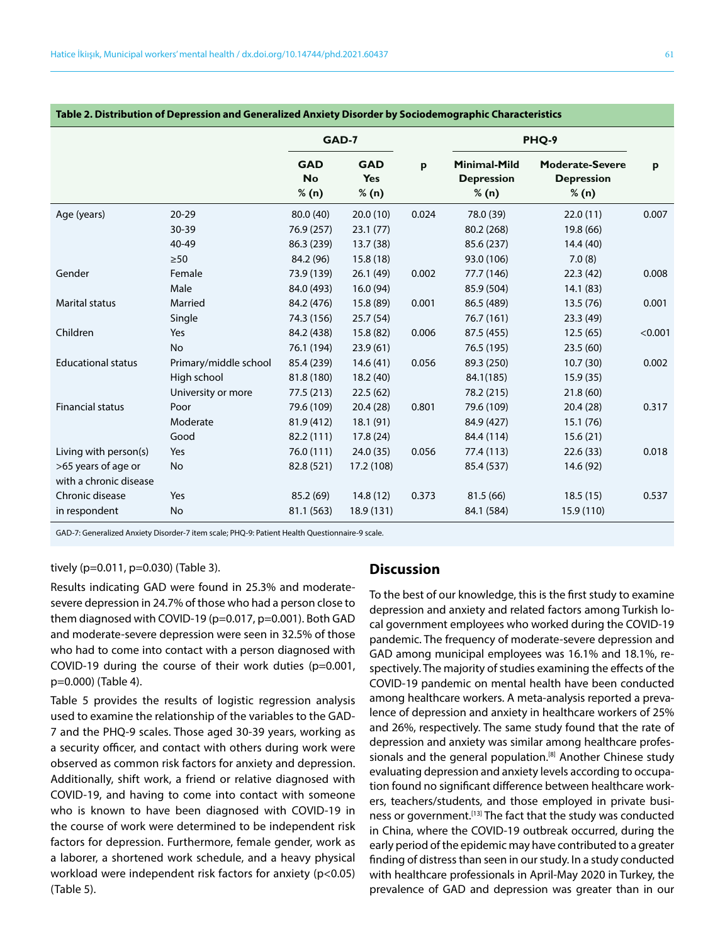| Table 2. Distribution of Depression and Generalized Anxiety Disorder by Sociodemographic Characteristics |                       |                                  |                                   |       |                                                   |                                                      |              |  |  |
|----------------------------------------------------------------------------------------------------------|-----------------------|----------------------------------|-----------------------------------|-------|---------------------------------------------------|------------------------------------------------------|--------------|--|--|
|                                                                                                          |                       | GAD-7                            |                                   |       | PHQ-9                                             |                                                      |              |  |  |
|                                                                                                          |                       | <b>GAD</b><br><b>No</b><br>% (n) | <b>GAD</b><br><b>Yes</b><br>% (n) | p     | <b>Minimal-Mild</b><br><b>Depression</b><br>% (n) | <b>Moderate-Severe</b><br><b>Depression</b><br>% (n) | $\mathbf{p}$ |  |  |
| Age (years)                                                                                              | $20 - 29$             | 80.0 (40)                        | 20.0(10)                          | 0.024 | 78.0 (39)                                         | 22.0(11)                                             | 0.007        |  |  |
|                                                                                                          | 30-39                 | 76.9 (257)                       | 23.1(77)                          |       | 80.2 (268)                                        | 19.8 (66)                                            |              |  |  |
|                                                                                                          | 40-49                 | 86.3 (239)                       | 13.7(38)                          |       | 85.6 (237)                                        | 14.4(40)                                             |              |  |  |
|                                                                                                          | $\geq 50$             | 84.2 (96)                        | 15.8(18)                          |       | 93.0 (106)                                        | 7.0(8)                                               |              |  |  |
| Gender                                                                                                   | Female                | 73.9 (139)                       | 26.1(49)                          | 0.002 | 77.7 (146)                                        | 22.3(42)                                             | 0.008        |  |  |
|                                                                                                          | Male                  | 84.0 (493)                       | 16.0(94)                          |       | 85.9 (504)                                        | 14.1 (83)                                            |              |  |  |
| <b>Marital status</b>                                                                                    | Married               | 84.2 (476)                       | 15.8 (89)                         | 0.001 | 86.5 (489)                                        | 13.5(76)                                             | 0.001        |  |  |
|                                                                                                          | Single                | 74.3 (156)                       | 25.7(54)                          |       | 76.7 (161)                                        | 23.3(49)                                             |              |  |  |
| Children                                                                                                 | Yes                   | 84.2 (438)                       | 15.8 (82)                         | 0.006 | 87.5 (455)                                        | 12.5(65)                                             | < 0.001      |  |  |
|                                                                                                          | <b>No</b>             | 76.1 (194)                       | 23.9(61)                          |       | 76.5 (195)                                        | 23.5(60)                                             |              |  |  |
| <b>Educational status</b>                                                                                | Primary/middle school | 85.4 (239)                       | 14.6(41)                          | 0.056 | 89.3 (250)                                        | 10.7(30)                                             | 0.002        |  |  |
|                                                                                                          | High school           | 81.8 (180)                       | 18.2(40)                          |       | 84.1(185)                                         | 15.9(35)                                             |              |  |  |
|                                                                                                          | University or more    | 77.5 (213)                       | 22.5(62)                          |       | 78.2 (215)                                        | 21.8(60)                                             |              |  |  |
| <b>Financial status</b>                                                                                  | Poor                  | 79.6 (109)                       | 20.4(28)                          | 0.801 | 79.6 (109)                                        | 20.4(28)                                             | 0.317        |  |  |
|                                                                                                          | Moderate              | 81.9 (412)                       | 18.1(91)                          |       | 84.9 (427)                                        | 15.1(76)                                             |              |  |  |
|                                                                                                          | Good                  | 82.2 (111)                       | 17.8(24)                          |       | 84.4 (114)                                        | 15.6(21)                                             |              |  |  |
| Living with person(s)                                                                                    | Yes                   | 76.0 (111)                       | 24.0 (35)                         | 0.056 | 77.4 (113)                                        | 22.6(33)                                             | 0.018        |  |  |
| >65 years of age or                                                                                      | No                    | 82.8 (521)                       | 17.2 (108)                        |       | 85.4 (537)                                        | 14.6 (92)                                            |              |  |  |
| with a chronic disease                                                                                   |                       |                                  |                                   |       |                                                   |                                                      |              |  |  |
| Chronic disease                                                                                          | Yes                   | 85.2 (69)                        | 14.8(12)                          | 0.373 | 81.5(66)                                          | 18.5(15)                                             | 0.537        |  |  |
| in respondent                                                                                            | No                    | 81.1 (563)                       | 18.9 (131)                        |       | 84.1 (584)                                        | 15.9 (110)                                           |              |  |  |
|                                                                                                          |                       |                                  |                                   |       |                                                   |                                                      |              |  |  |

#### **Table 2. Distribution of Depression and Generalized Anxiety Disorder by Sociodemographic Characteristics**

GAD-7: Generalized Anxiety Disorder-7 item scale; PHQ-9: Patient Health Questionnaire-9 scale.

## tively (p=0.011, p=0.030) (Table 3).

Results indicating GAD were found in 25.3% and moderatesevere depression in 24.7% of those who had a person close to them diagnosed with COVID-19 (p=0.017, p=0.001). Both GAD and moderate-severe depression were seen in 32.5% of those who had to come into contact with a person diagnosed with COVID-19 during the course of their work duties (p=0.001, p=0.000) (Table 4).

Table 5 provides the results of logistic regression analysis used to examine the relationship of the variables to the GAD-7 and the PHQ-9 scales. Those aged 30-39 years, working as a security officer, and contact with others during work were observed as common risk factors for anxiety and depression. Additionally, shift work, a friend or relative diagnosed with COVID-19, and having to come into contact with someone who is known to have been diagnosed with COVID-19 in the course of work were determined to be independent risk factors for depression. Furthermore, female gender, work as a laborer, a shortened work schedule, and a heavy physical workload were independent risk factors for anxiety (p<0.05) (Table 5).

## **Discussion**

To the best of our knowledge, this is the first study to examine depression and anxiety and related factors among Turkish local government employees who worked during the COVID-19 pandemic. The frequency of moderate-severe depression and GAD among municipal employees was 16.1% and 18.1%, respectively. The majority of studies examining the effects of the COVID-19 pandemic on mental health have been conducted among healthcare workers. A meta-analysis reported a prevalence of depression and anxiety in healthcare workers of 25% and 26%, respectively. The same study found that the rate of depression and anxiety was similar among healthcare professionals and the general population.<sup>[8]</sup> Another Chinese study evaluating depression and anxiety levels according to occupation found no significant difference between healthcare workers, teachers/students, and those employed in private business or government.<sup>[13]</sup> The fact that the study was conducted in China, where the COVID-19 outbreak occurred, during the early period of the epidemic may have contributed to a greater finding of distress than seen in our study. In a study conducted with healthcare professionals in April-May 2020 in Turkey, the prevalence of GAD and depression was greater than in our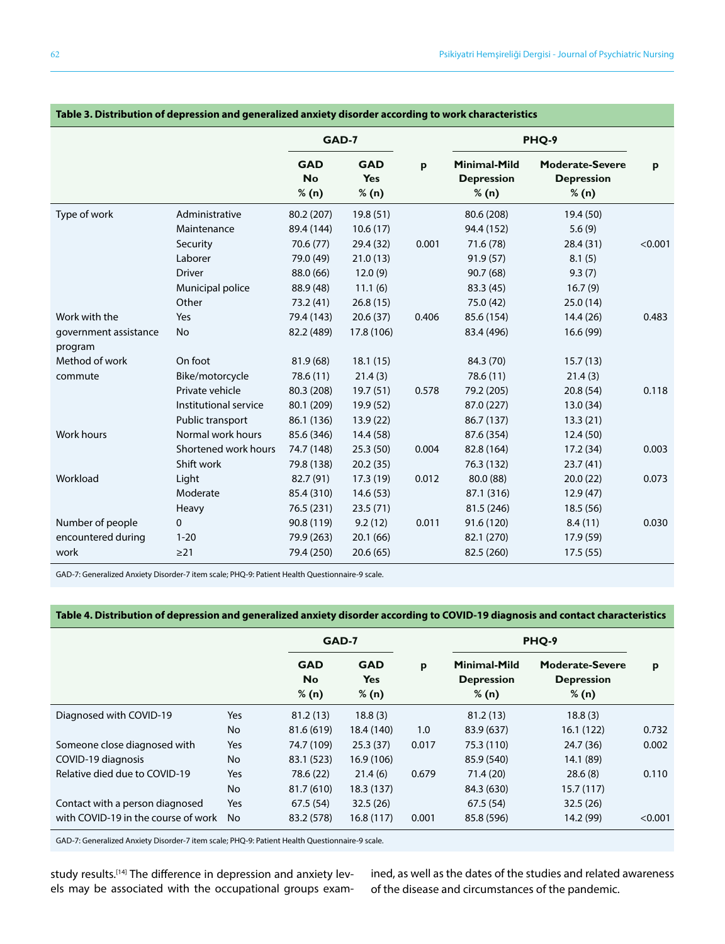| ומטוכ J. Distribution or uepression and generalized anxiety disorder according to work characteristics |                       |                                  |                                   |       |                                                   |                                                      |         |  |  |
|--------------------------------------------------------------------------------------------------------|-----------------------|----------------------------------|-----------------------------------|-------|---------------------------------------------------|------------------------------------------------------|---------|--|--|
|                                                                                                        |                       | GAD-7                            |                                   |       | PHQ-9                                             |                                                      |         |  |  |
|                                                                                                        |                       | <b>GAD</b><br><b>No</b><br>% (n) | <b>GAD</b><br><b>Yes</b><br>% (n) | p     | <b>Minimal-Mild</b><br><b>Depression</b><br>% (n) | <b>Moderate-Severe</b><br><b>Depression</b><br>% (n) | p       |  |  |
| Type of work                                                                                           | Administrative        | 80.2 (207)                       | 19.8(51)                          |       | 80.6 (208)                                        | 19.4 (50)                                            |         |  |  |
|                                                                                                        | Maintenance           | 89.4 (144)                       | 10.6(17)                          |       | 94.4 (152)                                        | 5.6(9)                                               |         |  |  |
|                                                                                                        | Security              | 70.6 (77)                        | 29.4 (32)                         | 0.001 | 71.6 (78)                                         | 28.4(31)                                             | < 0.001 |  |  |
|                                                                                                        | Laborer               | 79.0 (49)                        | 21.0(13)                          |       | 91.9(57)                                          | 8.1(5)                                               |         |  |  |
|                                                                                                        | <b>Driver</b>         | 88.0 (66)                        | 12.0(9)                           |       | 90.7(68)                                          | 9.3(7)                                               |         |  |  |
|                                                                                                        | Municipal police      | 88.9 (48)                        | 11.1(6)                           |       | 83.3 (45)                                         | 16.7(9)                                              |         |  |  |
|                                                                                                        | Other                 | 73.2 (41)                        | 26.8(15)                          |       | 75.0 (42)                                         | 25.0(14)                                             |         |  |  |
| Work with the                                                                                          | Yes                   | 79.4 (143)                       | 20.6(37)                          | 0.406 | 85.6 (154)                                        | 14.4 (26)                                            | 0.483   |  |  |
| government assistance<br>program                                                                       | No                    | 82.2 (489)                       | 17.8 (106)                        |       | 83.4 (496)                                        | 16.6 (99)                                            |         |  |  |
| Method of work                                                                                         | On foot               | 81.9 (68)                        | 18.1(15)                          |       | 84.3 (70)                                         | 15.7(13)                                             |         |  |  |
| commute                                                                                                | Bike/motorcycle       | 78.6 (11)                        | 21.4(3)                           |       | 78.6 (11)                                         | 21.4(3)                                              |         |  |  |
|                                                                                                        | Private vehicle       | 80.3 (208)                       | 19.7(51)                          | 0.578 | 79.2 (205)                                        | 20.8(54)                                             | 0.118   |  |  |
|                                                                                                        | Institutional service | 80.1 (209)                       | 19.9 (52)                         |       | 87.0 (227)                                        | 13.0(34)                                             |         |  |  |
|                                                                                                        | Public transport      | 86.1 (136)                       | 13.9(22)                          |       | 86.7 (137)                                        | 13.3(21)                                             |         |  |  |
| Work hours                                                                                             | Normal work hours     | 85.6 (346)                       | 14.4 (58)                         |       | 87.6 (354)                                        | 12.4(50)                                             |         |  |  |
|                                                                                                        | Shortened work hours  | 74.7 (148)                       | 25.3(50)                          | 0.004 | 82.8 (164)                                        | 17.2(34)                                             | 0.003   |  |  |
|                                                                                                        | Shift work            | 79.8 (138)                       | 20.2(35)                          |       | 76.3 (132)                                        | 23.7(41)                                             |         |  |  |
| Workload                                                                                               | Light                 | 82.7 (91)                        | 17.3(19)                          | 0.012 | 80.0 (88)                                         | 20.0(22)                                             | 0.073   |  |  |
|                                                                                                        | Moderate              | 85.4 (310)                       | 14.6(53)                          |       | 87.1 (316)                                        | 12.9(47)                                             |         |  |  |
|                                                                                                        | Heavy                 | 76.5 (231)                       | 23.5(71)                          |       | 81.5 (246)                                        | 18.5(56)                                             |         |  |  |
| Number of people                                                                                       | $\mathbf{0}$          | 90.8 (119)                       | 9.2(12)                           | 0.011 | 91.6 (120)                                        | 8.4(11)                                              | 0.030   |  |  |
| encountered during                                                                                     | $1 - 20$              | 79.9 (263)                       | 20.1(66)                          |       | 82.1 (270)                                        | 17.9 (59)                                            |         |  |  |
| work                                                                                                   | $\geq$ 21             | 79.4 (250)                       | 20.6(65)                          |       | 82.5 (260)                                        | 17.5(55)                                             |         |  |  |

## **Table 3. Distribution of depression and generalized anxiety disorder according to work characteristics**

GAD-7: Generalized Anxiety Disorder-7 item scale; PHQ-9: Patient Health Questionnaire-9 scale.

## **Table 4. Distribution of depression and generalized anxiety disorder according to COVID-19 diagnosis and contact characteristics**

|                                     |            | GAD-7                            |                                   |       | PHQ-9                                      |                                                      |         |
|-------------------------------------|------------|----------------------------------|-----------------------------------|-------|--------------------------------------------|------------------------------------------------------|---------|
|                                     |            | <b>GAD</b><br><b>No</b><br>% (n) | <b>GAD</b><br><b>Yes</b><br>% (n) | p     | Minimal-Mild<br><b>Depression</b><br>% (n) | <b>Moderate-Severe</b><br><b>Depression</b><br>% (n) | p       |
| Diagnosed with COVID-19             | <b>Yes</b> | 81.2(13)                         | 18.8(3)                           |       | 81.2(13)                                   | 18.8(3)                                              |         |
|                                     | <b>No</b>  | 81.6 (619)                       | 18.4 (140)                        | 1.0   | 83.9 (637)                                 | 16.1(122)                                            | 0.732   |
| Someone close diagnosed with        | Yes        | 74.7 (109)                       | 25.3(37)                          | 0.017 | 75.3 (110)                                 | 24.7 (36)                                            | 0.002   |
| COVID-19 diagnosis                  | <b>No</b>  | 83.1 (523)                       | 16.9 (106)                        |       | 85.9 (540)                                 | 14.1 (89)                                            |         |
| Relative died due to COVID-19       | Yes        | 78.6 (22)                        | 21.4(6)                           | 0.679 | 71.4 (20)                                  | 28.6(8)                                              | 0.110   |
|                                     | <b>No</b>  | 81.7 (610)                       | 18.3 (137)                        |       | 84.3 (630)                                 | 15.7(117)                                            |         |
| Contact with a person diagnosed     | Yes        | 67.5 (54)                        | 32.5(26)                          |       | 67.5(54)                                   | 32.5(26)                                             |         |
| with COVID-19 in the course of work | No         | 83.2 (578)                       | 16.8(117)                         | 0.001 | 85.8 (596)                                 | 14.2 (99)                                            | < 0.001 |

GAD-7: Generalized Anxiety Disorder-7 item scale; PHQ-9: Patient Health Questionnaire-9 scale.

study results.<sup>[14]</sup> The difference in depression and anxiety levels may be associated with the occupational groups examined, as well as the dates of the studies and related awareness of the disease and circumstances of the pandemic.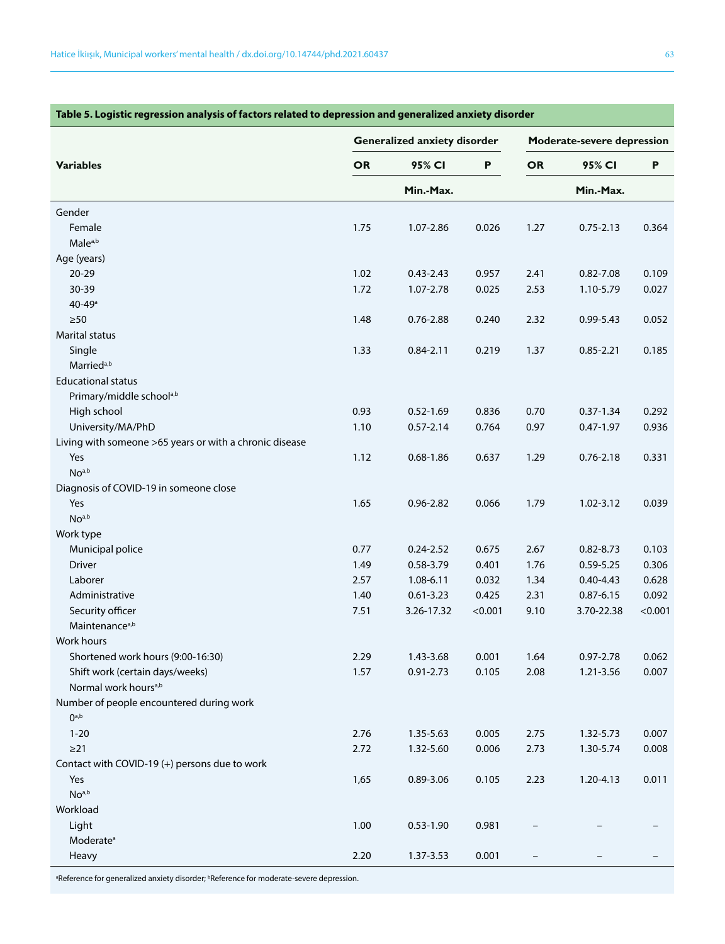|                                                         |           |               | Generalized anxiety disorder |           | Moderate-severe depression |         |  |
|---------------------------------------------------------|-----------|---------------|------------------------------|-----------|----------------------------|---------|--|
| <b>Variables</b>                                        | <b>OR</b> | 95% CI        | P                            | <b>OR</b> | 95% CI                     | P       |  |
|                                                         |           | Min.-Max.     |                              |           | Min.-Max.                  |         |  |
| Gender                                                  |           |               |                              |           |                            |         |  |
| Female                                                  | 1.75      | 1.07-2.86     | 0.026                        | 1.27      | $0.75 - 2.13$              | 0.364   |  |
| Male <sup>a,b</sup>                                     |           |               |                              |           |                            |         |  |
| Age (years)                                             |           |               |                              |           |                            |         |  |
| 20-29                                                   | 1.02      | $0.43 - 2.43$ | 0.957                        | 2.41      | $0.82 - 7.08$              | 0.109   |  |
| 30-39                                                   | 1.72      | 1.07-2.78     | 0.025                        | 2.53      | 1.10-5.79                  | 0.027   |  |
| $40 - 49$ <sup>a</sup>                                  |           |               |                              |           |                            |         |  |
| $\geq 50$                                               | 1.48      | $0.76 - 2.88$ | 0.240                        | 2.32      | $0.99 - 5.43$              | 0.052   |  |
| <b>Marital status</b>                                   |           |               |                              |           |                            |         |  |
| Single                                                  | 1.33      | $0.84 - 2.11$ | 0.219                        | 1.37      | $0.85 - 2.21$              | 0.185   |  |
| Married <sup>a,b</sup>                                  |           |               |                              |           |                            |         |  |
| <b>Educational status</b>                               |           |               |                              |           |                            |         |  |
| Primary/middle school <sup>a,b</sup>                    |           |               |                              |           |                            |         |  |
| High school                                             | 0.93      | $0.52 - 1.69$ | 0.836                        | 0.70      | $0.37 - 1.34$              | 0.292   |  |
| University/MA/PhD                                       | 1.10      | $0.57 - 2.14$ | 0.764                        | 0.97      | $0.47 - 1.97$              | 0.936   |  |
| Living with someone >65 years or with a chronic disease |           |               |                              |           |                            |         |  |
| Yes                                                     | 1.12      | $0.68 - 1.86$ | 0.637                        | 1.29      | $0.76 - 2.18$              | 0.331   |  |
| No <sub>a,b</sub>                                       |           |               |                              |           |                            |         |  |
| Diagnosis of COVID-19 in someone close                  |           |               |                              |           |                            |         |  |
| Yes                                                     | 1.65      | $0.96 - 2.82$ | 0.066                        | 1.79      | 1.02-3.12                  | 0.039   |  |
| No <sub>a,b</sub>                                       |           |               |                              |           |                            |         |  |
| Work type                                               |           |               |                              |           |                            |         |  |
| Municipal police                                        | 0.77      | $0.24 - 2.52$ | 0.675                        | 2.67      | $0.82 - 8.73$              | 0.103   |  |
| <b>Driver</b>                                           | 1.49      | 0.58-3.79     | 0.401                        | 1.76      | $0.59 - 5.25$              | 0.306   |  |
| Laborer                                                 | 2.57      | 1.08-6.11     | 0.032                        | 1.34      | $0.40 - 4.43$              | 0.628   |  |
| Administrative                                          | 1.40      | $0.61 - 3.23$ | 0.425                        | 2.31      | $0.87 - 6.15$              | 0.092   |  |
| Security officer                                        | 7.51      | 3.26-17.32    | < 0.001                      | 9.10      | 3.70-22.38                 | < 0.001 |  |
| Maintenance <sup>a,b</sup>                              |           |               |                              |           |                            |         |  |
| Work hours                                              |           |               |                              |           |                            |         |  |
| Shortened work hours (9:00-16:30)                       | 2.29      | 1.43-3.68     | 0.001                        | 1.64      | $0.97 - 2.78$              | 0.062   |  |
| Shift work (certain days/weeks)                         | 1.57      | $0.91 - 2.73$ | 0.105                        | 2.08      | 1.21-3.56                  | 0.007   |  |
| Normal work hours <sup>a,b</sup>                        |           |               |                              |           |                            |         |  |
| Number of people encountered during work                |           |               |                              |           |                            |         |  |
| $0$ <sub>a,b</sub>                                      |           |               |                              |           |                            |         |  |
| $1 - 20$                                                | 2.76      | 1.35-5.63     | 0.005                        | 2.75      | 1.32-5.73                  | 0.007   |  |
| $\geq$ 21                                               | 2.72      | 1.32-5.60     | 0.006                        | 2.73      | 1.30-5.74                  | 0.008   |  |
| Contact with COVID-19 (+) persons due to work           |           |               |                              |           |                            |         |  |
| Yes                                                     | 1,65      | 0.89-3.06     | 0.105                        | 2.23      | 1.20-4.13                  | 0.011   |  |
| No <sub>a,b</sub>                                       |           |               |                              |           |                            |         |  |
| Workload                                                |           |               |                              |           |                            |         |  |
|                                                         |           |               |                              |           |                            |         |  |
| Light                                                   | 1.00      | $0.53 - 1.90$ | 0.981                        |           |                            |         |  |
| Moderate <sup>a</sup>                                   |           |               |                              |           |                            |         |  |
| Heavy                                                   | 2.20      | 1.37-3.53     | 0.001                        |           |                            |         |  |

## **Table 5. Logistic regression analysis of factors related to depression and generalized anxiety disorder**

<sup>a</sup>Reference for generalized anxiety disorder; <sup>b</sup>Reference for moderate-severe depression.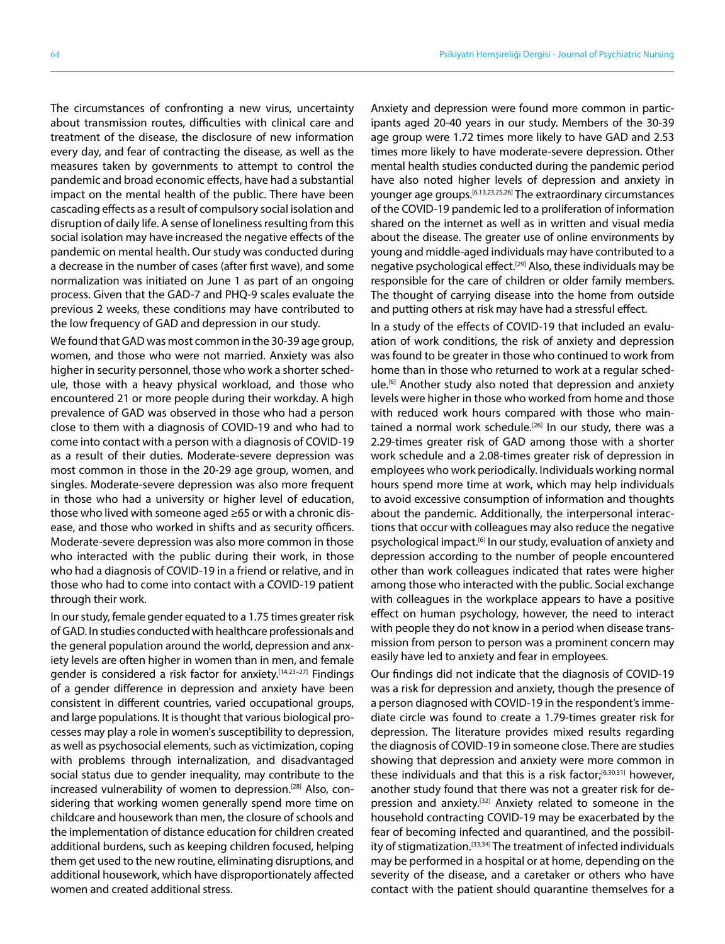The circumstances of confronting a new virus, uncertainty about transmission routes, difficulties with clinical care and treatment of the disease, the disclosure of new information every day, and fear of contracting the disease, as well as the measures taken by governments to attempt to control the pandemic and broad economic effects, have had a substantial impact on the mental health of the public. There have been cascading effects as a result of compulsory social isolation and disruption of daily life. A sense of loneliness resulting from this social isolation may have increased the negative effects of the pandemic on mental health. Our study was conducted during a decrease in the number of cases (after first wave), and some normalization was initiated on June 1 as part of an ongoing process. Given that the GAD-7 and PHQ-9 scales evaluate the previous 2 weeks, these conditions may have contributed to the low frequency of GAD and depression in our study.

We found that GAD was most common in the 30-39 age group, women, and those who were not married. Anxiety was also higher in security personnel, those who work a shorter schedule, those with a heavy physical workload, and those who encountered 21 or more people during their workday. A high prevalence of GAD was observed in those who had a person close to them with a diagnosis of COVID-19 and who had to come into contact with a person with a diagnosis of COVID-19 as a result of their duties. Moderate-severe depression was most common in those in the 20-29 age group, women, and singles. Moderate-severe depression was also more frequent in those who had a university or higher level of education, those who lived with someone aged ≥65 or with a chronic disease, and those who worked in shifts and as security officers. Moderate-severe depression was also more common in those who interacted with the public during their work, in those who had a diagnosis of COVID-19 in a friend or relative, and in those who had to come into contact with a COVID-19 patient through their work.

In our study, female gender equated to a 1.75 times greater risk of GAD. In studies conducted with healthcare professionals and the general population around the world, depression and anxiety levels are often higher in women than in men, and female gender is considered a risk factor for anxiety.<sup>[14,23-27]</sup> Findings of a gender difference in depression and anxiety have been consistent in different countries, varied occupational groups, and large populations. It is thought that various biological processes may play a role in women's susceptibility to depression, as well as psychosocial elements, such as victimization, coping with problems through internalization, and disadvantaged social status due to gender inequality, may contribute to the increased vulnerability of women to depression.<sup>[28]</sup> Also, considering that working women generally spend more time on childcare and housework than men, the closure of schools and the implementation of distance education for children created additional burdens, such as keeping children focused, helping them get used to the new routine, eliminating disruptions, and additional housework, which have disproportionately affected women and created additional stress.

Anxiety and depression were found more common in participants aged 20-40 years in our study. Members of the 30-39 age group were 1.72 times more likely to have GAD and 2.53 times more likely to have moderate-severe depression. Other mental health studies conducted during the pandemic period have also noted higher levels of depression and anxiety in younger age groups.[6,13,23,25,26] The extraordinary circumstances of the COVID-19 pandemic led to a proliferation of information shared on the internet as well as in written and visual media about the disease. The greater use of online environments by young and middle-aged individuals may have contributed to a negative psychological effect.[29] Also, these individuals may be responsible for the care of children or older family members. The thought of carrying disease into the home from outside and putting others at risk may have had a stressful effect.

In a study of the effects of COVID-19 that included an evaluation of work conditions, the risk of anxiety and depression was found to be greater in those who continued to work from home than in those who returned to work at a regular schedule.[6] Another study also noted that depression and anxiety levels were higher in those who worked from home and those with reduced work hours compared with those who maintained a normal work schedule.<sup>[26]</sup> In our study, there was a 2.29-times greater risk of GAD among those with a shorter work schedule and a 2.08-times greater risk of depression in employees who work periodically. Individuals working normal hours spend more time at work, which may help individuals to avoid excessive consumption of information and thoughts about the pandemic. Additionally, the interpersonal interactions that occur with colleagues may also reduce the negative psychological impact.[6] In our study, evaluation of anxiety and depression according to the number of people encountered other than work colleagues indicated that rates were higher among those who interacted with the public. Social exchange with colleagues in the workplace appears to have a positive effect on human psychology, however, the need to interact with people they do not know in a period when disease transmission from person to person was a prominent concern may easily have led to anxiety and fear in employees.

Our findings did not indicate that the diagnosis of COVID-19 was a risk for depression and anxiety, though the presence of a person diagnosed with COVID-19 in the respondent's immediate circle was found to create a 1.79-times greater risk for depression. The literature provides mixed results regarding the diagnosis of COVID-19 in someone close. There are studies showing that depression and anxiety were more common in these individuals and that this is a risk factor;<sup>[6,30,31]</sup> however, another study found that there was not a greater risk for depression and anxiety.[32] Anxiety related to someone in the household contracting COVID-19 may be exacerbated by the fear of becoming infected and quarantined, and the possibility of stigmatization.<sup>[33,34]</sup> The treatment of infected individuals may be performed in a hospital or at home, depending on the severity of the disease, and a caretaker or others who have contact with the patient should quarantine themselves for a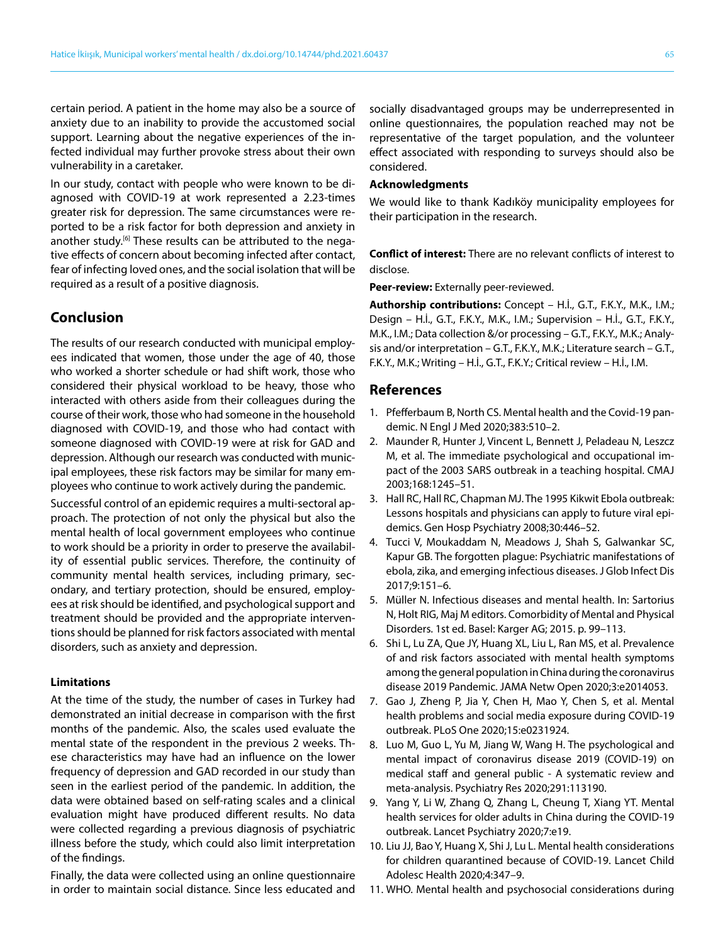certain period. A patient in the home may also be a source of anxiety due to an inability to provide the accustomed social support. Learning about the negative experiences of the infected individual may further provoke stress about their own vulnerability in a caretaker.

In our study, contact with people who were known to be diagnosed with COVID-19 at work represented a 2.23-times greater risk for depression. The same circumstances were reported to be a risk factor for both depression and anxiety in another study.<sup>[6]</sup> These results can be attributed to the negative effects of concern about becoming infected after contact, fear of infecting loved ones, and the social isolation that will be required as a result of a positive diagnosis.

## **Conclusion**

The results of our research conducted with municipal employees indicated that women, those under the age of 40, those who worked a shorter schedule or had shift work, those who considered their physical workload to be heavy, those who interacted with others aside from their colleagues during the course of their work, those who had someone in the household diagnosed with COVID-19, and those who had contact with someone diagnosed with COVID-19 were at risk for GAD and depression. Although our research was conducted with municipal employees, these risk factors may be similar for many employees who continue to work actively during the pandemic.

Successful control of an epidemic requires a multi-sectoral approach. The protection of not only the physical but also the mental health of local government employees who continue to work should be a priority in order to preserve the availability of essential public services. Therefore, the continuity of community mental health services, including primary, secondary, and tertiary protection, should be ensured, employees at risk should be identified, and psychological support and treatment should be provided and the appropriate interventions should be planned for risk factors associated with mental disorders, such as anxiety and depression.

#### **Limitations**

At the time of the study, the number of cases in Turkey had demonstrated an initial decrease in comparison with the first months of the pandemic. Also, the scales used evaluate the mental state of the respondent in the previous 2 weeks. These characteristics may have had an influence on the lower frequency of depression and GAD recorded in our study than seen in the earliest period of the pandemic. In addition, the data were obtained based on self-rating scales and a clinical evaluation might have produced different results. No data were collected regarding a previous diagnosis of psychiatric illness before the study, which could also limit interpretation of the findings.

Finally, the data were collected using an online questionnaire in order to maintain social distance. Since less educated and socially disadvantaged groups may be underrepresented in online questionnaires, the population reached may not be representative of the target population, and the volunteer effect associated with responding to surveys should also be considered.

#### **Acknowledgments**

We would like to thank Kadıköy municipality employees for their participation in the research.

**Conflict of interest:** There are no relevant conflicts of interest to disclose.

**Peer-review:** Externally peer-reviewed.

**Authorship contributions:** Concept – H.İ., G.T., F.K.Y., M.K., I.M.; Design – H.İ., G.T., F.K.Y., M.K., I.M.; Supervision – H.İ., G.T., F.K.Y., M.K., I.M.; Data collection &/or processing – G.T., F.K.Y., M.K.; Analysis and/or interpretation – G.T., F.K.Y., M.K.; Literature search – G.T., F.K.Y., M.K.; Writing – H.İ., G.T., F.K.Y.; Critical review – H.İ., I.M.

## **References**

- 1. Pfefferbaum B, North CS. Mental health and the Covid-19 pandemic. N Engl J Med 2020;383:510–2.
- 2. Maunder R, Hunter J, Vincent L, Bennett J, Peladeau N, Leszcz M, et al. The immediate psychological and occupational impact of the 2003 SARS outbreak in a teaching hospital. CMAJ 2003;168:1245–51.
- 3. Hall RC, Hall RC, Chapman MJ. The 1995 Kikwit Ebola outbreak: Lessons hospitals and physicians can apply to future viral epidemics. Gen Hosp Psychiatry 2008;30:446–52.
- 4. Tucci V, Moukaddam N, Meadows J, Shah S, Galwankar SC, Kapur GB. The forgotten plague: Psychiatric manifestations of ebola, zika, and emerging infectious diseases. J Glob Infect Dis 2017;9:151–6.
- 5. Müller N. Infectious diseases and mental health. In: Sartorius N, Holt RIG, Maj M editors. Comorbidity of Mental and Physical Disorders. 1st ed. Basel: Karger AG; 2015. p. 99–113.
- 6. Shi L, Lu ZA, Que JY, Huang XL, Liu L, Ran MS, et al. Prevalence of and risk factors associated with mental health symptoms among the general population in China during the coronavirus disease 2019 Pandemic. JAMA Netw Open 2020;3:e2014053.
- 7. Gao J, Zheng P, Jia Y, Chen H, Mao Y, Chen S, et al. Mental health problems and social media exposure during COVID-19 outbreak. PLoS One 2020;15:e0231924.
- 8. Luo M, Guo L, Yu M, Jiang W, Wang H. The psychological and mental impact of coronavirus disease 2019 (COVID-19) on medical staff and general public - A systematic review and meta-analysis. Psychiatry Res 2020;291:113190.
- 9. Yang Y, Li W, Zhang Q, Zhang L, Cheung T, Xiang YT. Mental health services for older adults in China during the COVID-19 outbreak. Lancet Psychiatry 2020;7:e19.
- 10. Liu JJ, Bao Y, Huang X, Shi J, Lu L. Mental health considerations for children quarantined because of COVID-19. Lancet Child Adolesc Health 2020;4:347–9.
- 11. WHO. Mental health and psychosocial considerations during